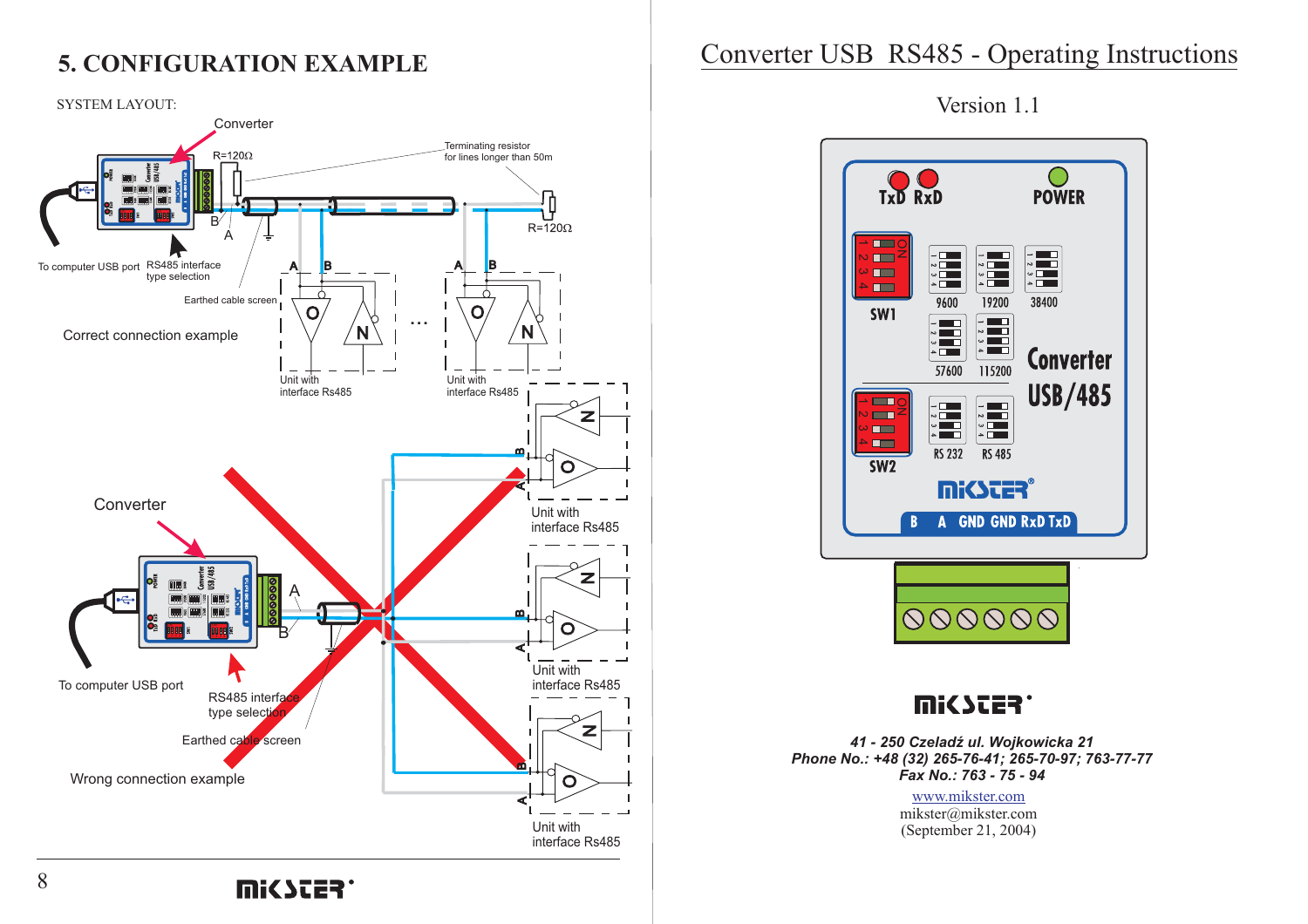## **5. CONFIGURATION EXAMPLE**

SYSTEM LAYOUT:



**Mi<br/>>255.** 

# Converter USB RS485 - Operating Instructions

Version 1.1



## R

*41 - 250 CzeladŸ ul. Wojkowicka 21 Phone No.: +48 (32) 265-76-41; 265-70-97; 763-77-77 Fax No.: 763 - 75 - 94*

> www.mikster.com mikster@mikster.com (September 21, 2004)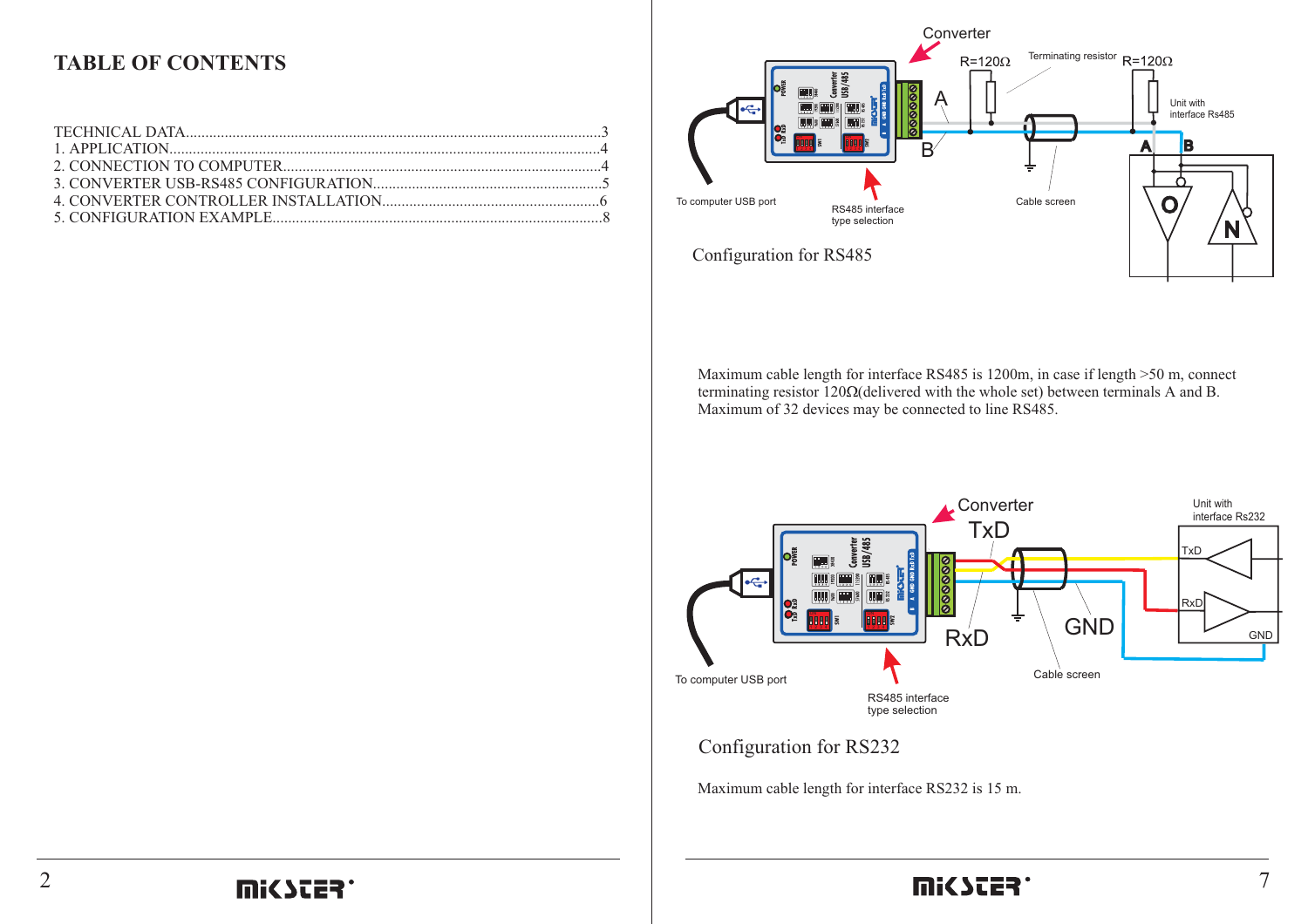### **TABLE OF CONTENTS**



Maximum cable length for interface RS485 is 1200m, in case if length >50 m, connect terminating resistor  $120\Omega$ (delivered with the whole set) between terminals A and B. Maximum of 32 devices may be connected to line RS485.



Configuration for RS 232

Maximum cable length for interface RS232 is 15 m.

2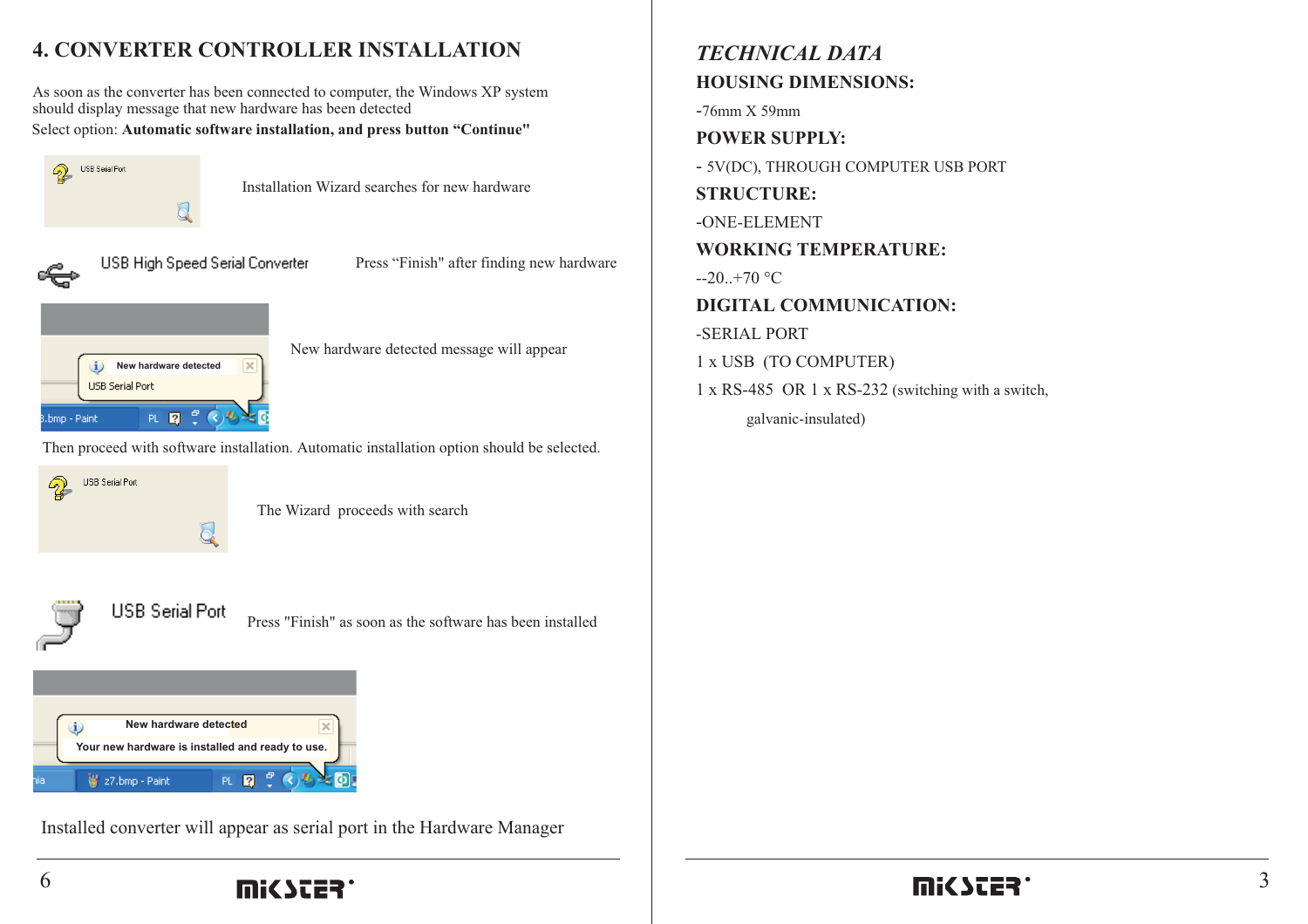## **4. CONVERTER CONTROLLER INSTALLATION**

As soon as the converter has been connected to computer, the Windows XP system should display message that new hardware has been detected Select option: **Automatic software installation, and press button "Continue"**



Installation Wizard searches for new hardware



USB High Speed Serial Converter

Press "Finish" after finding new hardware



New hardware detected message will appear

Then proceed with software installation. Automatic installation option should be selected.



The Wizard proceeds with search



Press "Finish" as soon as the software has been installed



Installed converter will appear as serial por<sup>t</sup> in the Hardware Manager

## *TECHNICAL DATA***HOUSING DIMENSIONS:**

-76mm X 59mm

**POWER SUPPLY:**

- 5V(DC), THROUGH COMPUTER USB PORT

**STRUCTURE:**

-ONE-ELEMENT

**WORKING TEMPERATURE:**

 $-20.+70 °C$ 

**DIGITAL COMMUNICATION:**

-SERIAL PORT

1 <sup>x</sup> USB (TO COMPUTER)

 $1 \times$  RS-485 OR  $1 \times$  RS-232 (switching with a switch, galvanic-insulated)



R